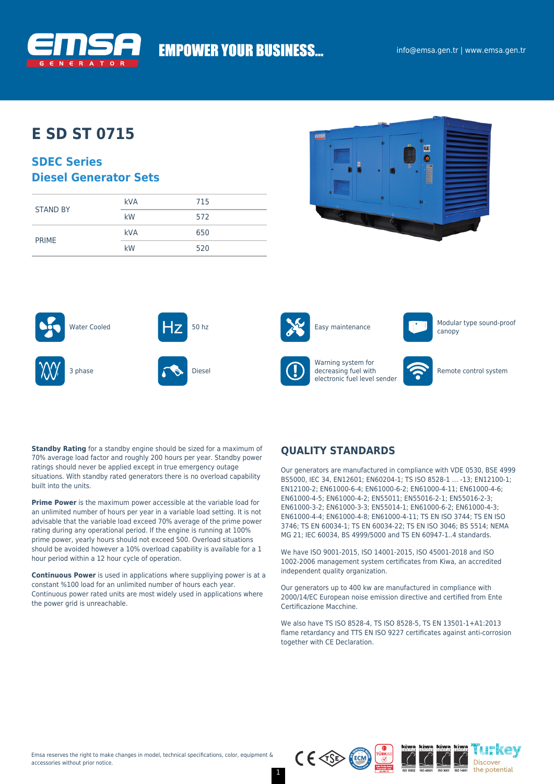

# **EMPOWER YOUR BUSINESS...**

## **E SD ST 0715**

### **SDEC Series Diesel Generator Sets**

|                 | <b>kVA</b> | 715 |
|-----------------|------------|-----|
| <b>STAND BY</b> | kW         | 572 |
| <b>PRIME</b>    | <b>kVA</b> | 650 |
|                 | kW         | 520 |













Warning system for decreasing fuel with electronic fuel level sender



Remote control system

**Standby Rating** for a standby engine should be sized for a maximum of 70% average load factor and roughly 200 hours per year. Standby power ratings should never be applied except in true emergency outage situations. With standby rated generators there is no overload capability built into the units.

**Prime Power** is the maximum power accessible at the variable load for an unlimited number of hours per year in a variable load setting. It is not advisable that the variable load exceed 70% average of the prime power rating during any operational period. If the engine is running at 100% prime power, yearly hours should not exceed 500. Overload situations should be avoided however a 10% overload capability is available for a 1 hour period within a 12 hour cycle of operation.

**Continuous Power** is used in applications where suppliying power is at a constant %100 load for an unlimited number of hours each year. Continuous power rated units are most widely used in applications where the power grid is unreachable.

### **QUALITY STANDARDS**

Our generators are manufactured in compliance with VDE 0530, BSE 4999 BS5000, IEC 34, EN12601; EN60204-1; TS ISO 8528-1 … -13; EN12100-1; EN12100-2; EN61000-6-4; EN61000-6-2; EN61000-4-11; EN61000-4-6; EN61000-4-5; EN61000-4-2; EN55011; EN55016-2-1; EN55016-2-3; EN61000-3-2; EN61000-3-3; EN55014-1; EN61000-6-2; EN61000-4-3; EN61000-4-4; EN61000-4-8; EN61000-4-11; TS EN ISO 3744; TS EN ISO 3746; TS EN 60034-1; TS EN 60034-22; TS EN ISO 3046; BS 5514; NEMA MG 21; IEC 60034, BS 4999/5000 and TS EN 60947-1..4 standards.

We have ISO 9001-2015, ISO 14001-2015, ISO 45001-2018 and ISO 1002-2006 management system certificates from Kiwa, an accredited independent quality organization.

Our generators up to 400 kw are manufactured in compliance with 2000/14/EC European noise emission directive and certified from Ente Certificazione Macchine.

We also have TS ISO 8528-4, TS ISO 8528-5, TS EN 13501-1+A1:2013 flame retardancy and TTS EN ISO 9227 certificates against anti-corrosion together with CE Declaration.



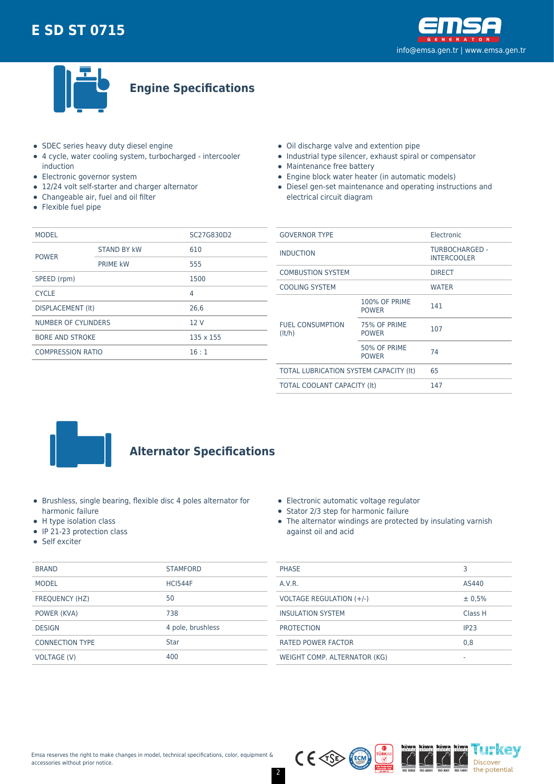



**Engine Specifications**

- SDEC series heavy duty diesel engine
- 4 cycle, water cooling system, turbocharged intercooler induction
- Electronic governor system
- 12/24 volt self-starter and charger alternator
- Changeable air, fuel and oil filter
- Flexible fuel pipe
- Oil discharge valve and extention pipe
- Industrial type silencer, exhaust spiral or compensator
- Maintenance free battery
- Engine block water heater (in automatic models)
- Diesel gen-set maintenance and operating instructions and electrical circuit diagram

| <b>MODEL</b>               |                    | SC27G830D2 |  |
|----------------------------|--------------------|------------|--|
| <b>POWER</b>               | <b>STAND BY kW</b> | 610        |  |
|                            | <b>PRIME kW</b>    | 555        |  |
| SPEED (rpm)                |                    | 1500       |  |
| <b>CYCLE</b>               |                    | 4          |  |
| DISPLACEMENT (It)          |                    | 26,6       |  |
| <b>NUMBER OF CYLINDERS</b> |                    | 12V        |  |
| <b>BORE AND STROKE</b>     |                    | 135 x 155  |  |
| <b>COMPRESSION RATIO</b>   |                    | 16:1       |  |
|                            |                    |            |  |

| <b>GOVERNOR TYPE</b>                   |                                      | Electronic                           |  |
|----------------------------------------|--------------------------------------|--------------------------------------|--|
| <b>INDUCTION</b>                       |                                      | TURBOCHARGED -<br><b>INTERCOOLER</b> |  |
| <b>COMBUSTION SYSTEM</b>               |                                      | <b>DIRECT</b>                        |  |
| <b>COOLING SYSTEM</b>                  |                                      | <b>WATER</b>                         |  |
| <b>FUEL CONSUMPTION</b><br>(lt/h)      | <b>100% OF PRIME</b><br><b>POWER</b> | 141                                  |  |
|                                        | 75% OF PRIME<br><b>POWER</b>         | 107                                  |  |
|                                        | 50% OF PRIME<br><b>POWER</b>         | 74                                   |  |
| TOTAL LUBRICATION SYSTEM CAPACITY (It) |                                      | 65                                   |  |
| TOTAL COOLANT CAPACITY (It)            |                                      | 147                                  |  |
|                                        |                                      |                                      |  |



## **Alternator Specifications**

- Brushless, single bearing, flexible disc 4 poles alternator for harmonic failure
- H type isolation class
- IP 21-23 protection class
- Self exciter

|  | Electronic automatic voltage regulator |  |
|--|----------------------------------------|--|
|  |                                        |  |

- Stator 2/3 step for harmonic failure
- The alternator windings are protected by insulating varnish against oil and acid

| <b>BRAND</b>           | <b>STAMFORD</b>   | <b>PHASE</b>                 |         |  |
|------------------------|-------------------|------------------------------|---------|--|
| <b>MODEL</b>           | <b>HCI544F</b>    | A.V.R.                       | AS440   |  |
| FREQUENCY (HZ)         | 50                | VOLTAGE REGULATION (+/-)     | ± 0,5%  |  |
| POWER (KVA)            | 738               | <b>INSULATION SYSTEM</b>     | Class H |  |
| <b>DESIGN</b>          | 4 pole, brushless | <b>PROTECTION</b>            | IP23    |  |
| <b>CONNECTION TYPE</b> | <b>Star</b>       | <b>RATED POWER FACTOR</b>    | 0,8     |  |
| VOLTAGE (V)            | 400               | WEIGHT COMP. ALTERNATOR (KG) |         |  |
|                        |                   |                              |         |  |

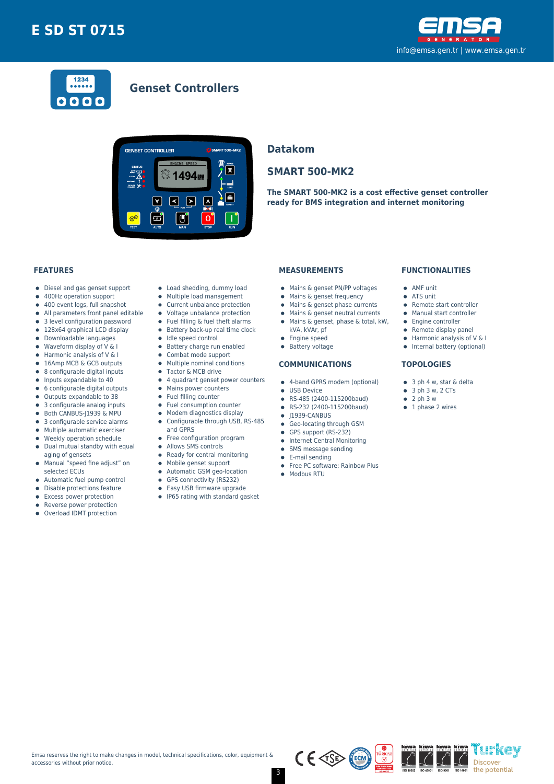



### **Genset Controllers**



#### **Datakom**

### **SMART 500-MK2**

**The SMART 500-MK2 is a cost effective genset controller ready for BMS integration and internet monitoring**

#### **FEATURES**

- Diesel and gas genset support  $\bullet$
- 400Hz operation support  $\bullet$
- $\bullet$ 400 event logs, full snapshot
- All parameters front panel editable  $\bullet$
- 3 level configuration password
- 128x64 graphical LCD display  $\bullet$
- Downloadable languages
- $\bullet$ Waveform display of V & I  $\bullet$
- Harmonic analysis of V & I 16Amp MCB & GCB outputs
- 8 configurable digital inputs  $\bullet$
- $\bullet$ Inputs expandable to 40
- 6 configurable digital outputs  $\bullet$
- Outputs expandable to 38  $\bullet$
- 3 configurable analog inputs
- Both CANBUS-J1939 & MPU  $\bullet$
- 3 configurable service alarms  $\bullet$
- $\bullet$ Multiple automatic exerciser
- Weekly operation schedule  $\blacksquare$
- $\bullet$ Dual mutual standby with equal aging of gensets
- Manual "speed fine adjust" on  $\bullet$ selected ECUs
- 
- Automatic fuel pump control  $\bullet$
- $\bullet$ Disable protections feature
- Excess power protection
- Reverse power protection
- Overload IDMT protection  $\bullet$
- Load shedding, dummy load
- Multiple load management  $\bullet$
- Current unbalance protection
- Voltage unbalance protection
- $\bullet$ Fuel filling & fuel theft alarms
- $\bullet$  Battery back-up real time clock
- $\bullet$  Idle speed control
- **•** Battery charge run enabled
- $\bullet$ Combat mode support
- $\bullet$ Multiple nominal conditions
- Tactor & MCB drive
- 4 quadrant genset power counters
- Mains power counters
- Fuel filling counter
- $\bullet$ Fuel consumption counter
- Modem diagnostics display  $\bullet$
- Configurable through USB, RS-485  $\bullet$
- and GPRS
- Free configuration program
- $\bullet$ Allows SMS controls
- $\bullet$ Ready for central monitoring
- Mobile genset support  $\bullet$
- Automatic GSM geo-location  $\bullet$
- $\bullet$ GPS connectivity (RS232)
- $\bullet$ Easy USB firmware upgrade
- 
- IP65 rating with standard gasket

#### **MEASUREMENTS**

- Mains & genset PN/PP voltages
- Mains & genset frequency
- $\bullet$  Mains & genset phase currents
- Mains & genset neutral currents  $\bullet$
- Mains & genset, phase & total, kW,
	- kVA, kVAr, pf
- 
- **•** Engine speed
- **•** Battery voltage

#### **COMMUNICATIONS**

- 4-band GPRS modem (optional)
- **CONTRACTE OF LISR Device**
- RS-485 (2400-115200baud)
- RS-232 (2400-115200baud)  $\bullet$
- $\bullet$  J1939-CANBUS
- **Geo-locating through GSM**
- GPS support (RS-232)
- **•** Internet Central Monitoring
- SMS message sending  $\bullet$
- E-mail sending
- Free PC software: Rainbow Plus

 $C \in \sqrt{SS}$ 

• Modbus RTU

#### **FUNCTIONALITIES**

- AMF unit
- ATS unit
- Remote start controller
- Manual start controller
- Engine controller
- $\bullet$  Remote display panel
- $\bullet$  Harmonic analysis of V & I
- Internal battery (optional)

'i h'kev

Discover the potential

#### **TOPOLOGIES**

- 3 ph 4 w, star & delta
- $\bullet$  3 ph 3 w, 2 CTs
- $\bullet$  2 ph 3 w
- $\bullet$  1 phase 2 wires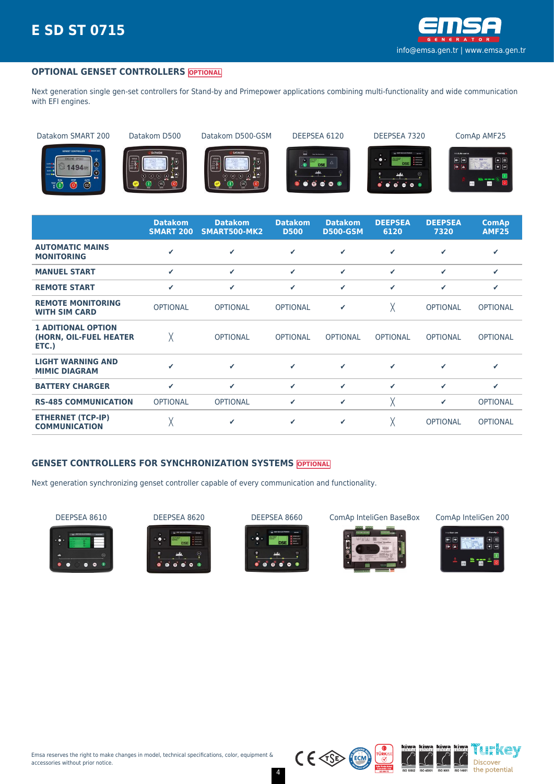

#### **OPTIONAL GENSET CONTROLLERS OPTIONAL**

Next generation single gen-set controllers for Stand-by and Primepower applications combining multi-functionality and wide communication with EFI engines.

Datakom SMART 200 Datakom D500 Datakom D500-GSM DEEPSEA 6120 DEEPSEA 7320 ComAp AMF25



















|                                                              | <b>Datakom</b><br><b>SMART 200</b> | <b>Datakom</b><br>SMART500-MK2 | <b>Datakom</b><br><b>D500</b> | <b>Datakom</b><br><b>D500-GSM</b> | <b>DEEPSEA</b><br>6120 | <b>DEEPSEA</b><br>7320 | <b>ComAp</b><br><b>AMF25</b> |
|--------------------------------------------------------------|------------------------------------|--------------------------------|-------------------------------|-----------------------------------|------------------------|------------------------|------------------------------|
| <b>AUTOMATIC MAINS</b><br><b>MONITORING</b>                  | ✔                                  | ✔                              | ✓                             | ✓                                 | ✓                      | ✔                      | ✔                            |
| <b>MANUEL START</b>                                          | ✓                                  | $\checkmark$                   | ✓                             | ✓                                 | ✓                      | ✓                      | ✔                            |
| <b>REMOTE START</b>                                          | ✓                                  | ✓                              | ✓                             | ✓                                 | ✓                      | ✔                      | ✔                            |
| <b>REMOTE MONITORING</b><br><b>WITH SIM CARD</b>             | <b>OPTIONAL</b>                    | <b>OPTIONAL</b>                | <b>OPTIONAL</b>               | ✔                                 | χ                      | <b>OPTIONAL</b>        | <b>OPTIONAL</b>              |
| <b>1 ADITIONAL OPTION</b><br>(HORN, OIL-FUEL HEATER<br>ETC.) | χ                                  | <b>OPTIONAL</b>                | <b>OPTIONAL</b>               | <b>OPTIONAL</b>                   | <b>OPTIONAL</b>        | <b>OPTIONAL</b>        | <b>OPTIONAL</b>              |
| <b>LIGHT WARNING AND</b><br><b>MIMIC DIAGRAM</b>             | ✔                                  | $\checkmark$                   | ✔                             | ✓                                 | ✔                      | ✔                      | ✔                            |
| <b>BATTERY CHARGER</b>                                       | $\checkmark$                       | $\checkmark$                   | ✓                             | ✓                                 | ✓                      | ✓                      | ✔                            |
| <b>RS-485 COMMUNICATION</b>                                  | <b>OPTIONAL</b>                    | <b>OPTIONAL</b>                | ✓                             | ✓                                 | χ                      | ✔                      | <b>OPTIONAL</b>              |
| <b>ETHERNET (TCP-IP)</b><br><b>COMMUNICATION</b>             | χ                                  | ✔                              | ✓                             | ✓                                 | χ                      | <b>OPTIONAL</b>        | <b>OPTIONAL</b>              |

#### **GENSET CONTROLLERS FOR SYNCHRONIZATION SYSTEMS OPTIONAL**

Next generation synchronizing genset controller capable of every communication and functionality.















 $C \in \text{CSP}$